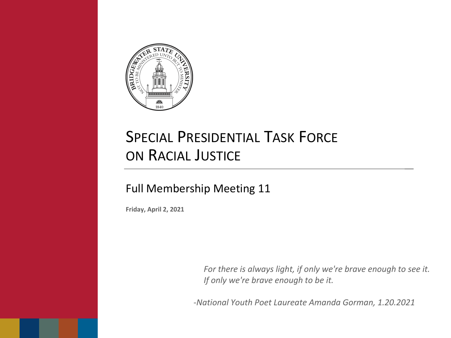

# SPECIAL PRESIDENTIAL TASK FORCE ON RACIAL JUSTICE

### Full Membership Meeting 11

**Friday, April 2, 2021**

*For there is always light, if only we're brave enough to see it. If only we're brave enough to be it.*

*-National Youth Poet Laureate Amanda Gorman, 1.20.2021*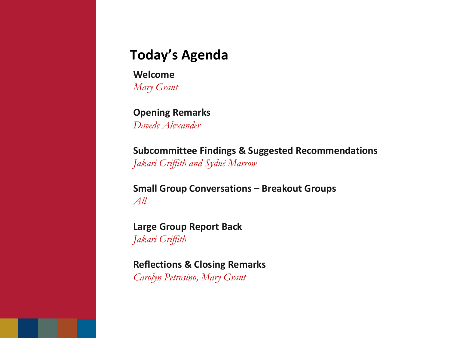## **Today's Agenda**

**Welcome** *Mary Grant*

### **Opening Remarks**

*Davede Alexander*

**Subcommittee Findings & Suggested Recommendations** *Jakari Griffith and Sydné Marrow*

**Small Group Conversations – Breakout Groups** *All*

**Large Group Report Back** *Jakari Griffith*

**Reflections & Closing Remarks**

*Carolyn Petrosino, Mary Grant*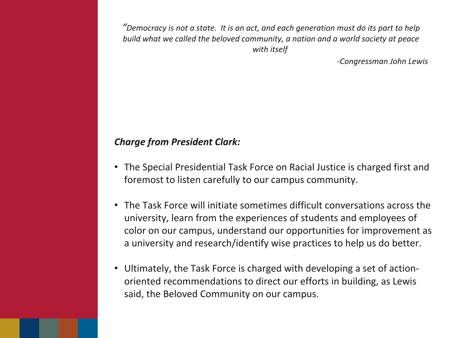*"Democracy is not a state. It is an act, and each generation must do its part to help build what we called the beloved community, a nation and a world society at peace with itself*

*-Congressman John Lewis*

#### *Charge from President Clark:*

- The Special Presidential Task Force on Racial Justice is charged first and foremost to listen carefully to our campus community.
- The Task Force will initiate sometimes difficult conversations across the university, learn from the experiences of students and employees of color on our campus, understand our opportunities for improvement as a university and research/identify wise practices to help us do better.
- Ultimately, the Task Force is charged with developing a set of actionoriented recommendations to direct our efforts in building, as Lewis said, the Beloved Community on our campus.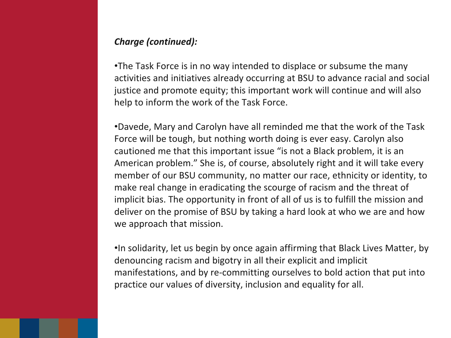#### *Charge (continued):*

•The Task Force is in no way intended to displace or subsume the many activities and initiatives already occurring at BSU to advance racial and social justice and promote equity; this important work will continue and will also help to inform the work of the Task Force.

•Davede, Mary and Carolyn have all reminded me that the work of the Task Force will be tough, but nothing worth doing is ever easy. Carolyn also cautioned me that this important issue "is not a Black problem, it is an American problem." She is, of course, absolutely right and it will take every member of our BSU community, no matter our race, ethnicity or identity, to make real change in eradicating the scourge of racism and the threat of implicit bias. The opportunity in front of all of us is to fulfill the mission and deliver on the promise of BSU by taking a hard look at who we are and how we approach that mission.

•In solidarity, let us begin by once again affirming that Black Lives Matter, by denouncing racism and bigotry in all their explicit and implicit manifestations, and by re-committing ourselves to bold action that put into practice our values of diversity, inclusion and equality for all.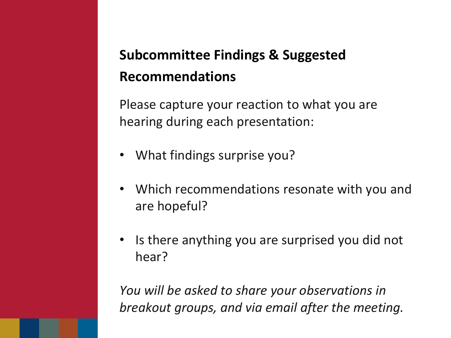# **Subcommittee Findings & Suggested Recommendations**

Please capture your reaction to what you are hearing during each presentation:

- What findings surprise you?
- Which recommendations resonate with you and are hopeful?
- Is there anything you are surprised you did not hear?

*You will be asked to share your observations in breakout groups, and via email after the meeting.*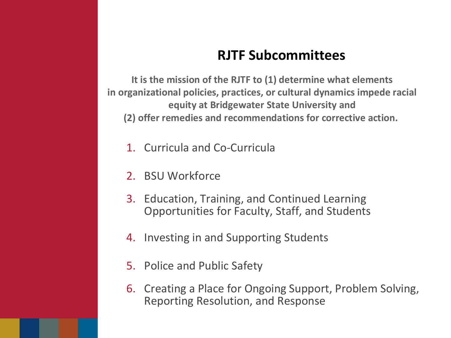## **RJTF Subcommittees**

**It is the mission of the RJTF to (1) determine what elements in organizational policies, practices, or cultural dynamics impede racial equity at Bridgewater State University and (2) offer remedies and recommendations for corrective action.**

- 1. Curricula and Co-Curricula
- 2. BSU Workforce
- 3. Education, Training, and Continued Learning Opportunities for Faculty, Staff, and Students
- 4. Investing in and Supporting Students
- 5. Police and Public Safety
- 6. Creating a Place for Ongoing Support, Problem Solving, Reporting Resolution, and Response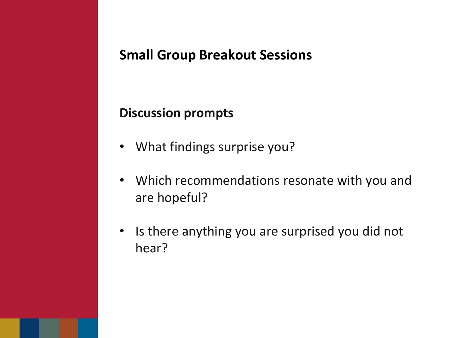## **Small Group Breakout Sessions**

## **Discussion prompts**

- What findings surprise you?
- Which recommendations resonate with you and are hopeful?
- Is there anything you are surprised you did not hear?